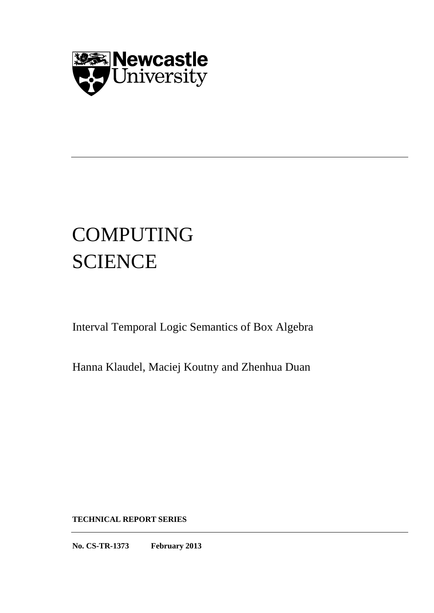

# COMPUTING **SCIENCE**

Interval Temporal Logic Semantics of Box Algebra

Hanna Klaudel, Maciej Koutny and Zhenhua Duan

**TECHNICAL REPORT SERIES**

**No. CS-TR-1373 February 2013**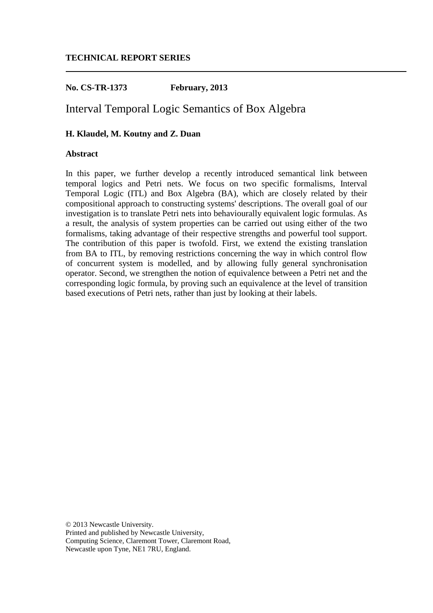# **TECHNICAL REPORT SERIES**

# **No. CS-TR-1373 February, 2013**

# Interval Temporal Logic Semantics of Box Algebra

# **H. Klaudel, M. Koutny and Z. Duan**

# **Abstract**

In this paper, we further develop a recently introduced semantical link between temporal logics and Petri nets. We focus on two specific formalisms, Interval Temporal Logic (ITL) and Box Algebra (BA), which are closely related by their compositional approach to constructing systems' descriptions. The overall goal of our investigation is to translate Petri nets into behaviourally equivalent logic formulas. As a result, the analysis of system properties can be carried out using either of the two formalisms, taking advantage of their respective strengths and powerful tool support. The contribution of this paper is twofold. First, we extend the existing translation from BA to ITL, by removing restrictions concerning the way in which control flow of concurrent system is modelled, and by allowing fully general synchronisation operator. Second, we strengthen the notion of equivalence between a Petri net and the corresponding logic formula, by proving such an equivalence at the level of transition based executions of Petri nets, rather than just by looking at their labels.

© 2013 Newcastle University. Printed and published by Newcastle University, Computing Science, Claremont Tower, Claremont Road, Newcastle upon Tyne, NE1 7RU, England.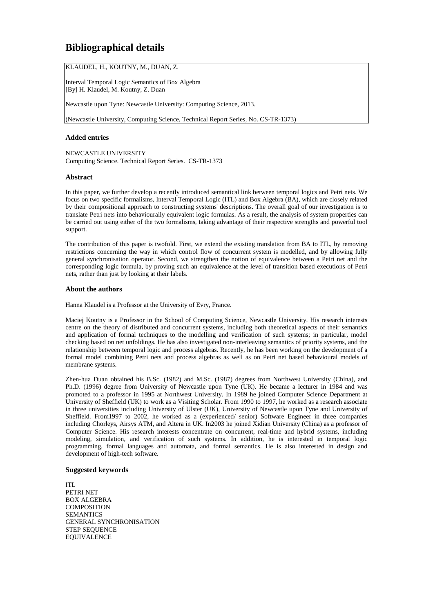# **Bibliographical details**

KLAUDEL, H., KOUTNY, M., DUAN, Z.

Interval Temporal Logic Semantics of Box Algebra [By] H. Klaudel, M. Koutny, Z. Duan

Newcastle upon Tyne: Newcastle University: Computing Science, 2013.

(Newcastle University, Computing Science, Technical Report Series, No. CS-TR-1373)

## **Added entries**

NEWCASTLE UNIVERSITY Computing Science. Technical Report Series. CS-TR-1373

#### **Abstract**

In this paper, we further develop a recently introduced semantical link between temporal logics and Petri nets. We focus on two specific formalisms, Interval Temporal Logic (ITL) and Box Algebra (BA), which are closely related by their compositional approach to constructing systems' descriptions. The overall goal of our investigation is to translate Petri nets into behaviourally equivalent logic formulas. As a result, the analysis of system properties can be carried out using either of the two formalisms, taking advantage of their respective strengths and powerful tool support.

The contribution of this paper is twofold. First, we extend the existing translation from BA to ITL, by removing restrictions concerning the way in which control flow of concurrent system is modelled, and by allowing fully general synchronisation operator. Second, we strengthen the notion of equivalence between a Petri net and the corresponding logic formula, by proving such an equivalence at the level of transition based executions of Petri nets, rather than just by looking at their labels.

#### **About the authors**

Hanna Klaudel is a Professor at the University of Evry, France.

Maciej Koutny is a Professor in the School of Computing Science, Newcastle University. His research interests centre on the theory of distributed and concurrent systems, including both theoretical aspects of their semantics and application of formal techniques to the modelling and verification of such systems; in particular, model checking based on net unfoldings. He has also investigated non-interleaving semantics of priority systems, and the relationship between temporal logic and process algebras. Recently, he has been working on the development of a formal model combining Petri nets and process algebras as well as on Petri net based behavioural models of membrane systems.

Zhen-hua Duan obtained his B.Sc. (1982) and M.Sc. (1987) degrees from Northwest University (China), and Ph.D. (1996) degree from University of Newcastle upon Tyne (UK). He became a lecturer in 1984 and was promoted to a professor in 1995 at Northwest University. In 1989 he joined Computer Science Department at University of Sheffield (UK) to work as a Visiting Scholar. From 1990 to 1997, he worked as a research associate in three universities including University of Ulster (UK), University of Newcastle upon Tyne and University of Sheffield. From1997 to 2002, he worked as a (experienced/ senior) Software Engineer in three companies including Chorleys, Airsys ATM, and Altera in UK. In2003 he joined Xidian University (China) as a professor of Computer Science. His research interests concentrate on concurrent, real-time and hybrid systems, including modeling, simulation, and verification of such systems. In addition, he is interested in temporal logic programming, formal languages and automata, and formal semantics. He is also interested in design and development of high-tech software.

#### **Suggested keywords**

ITL PETRI NET BOX ALGEBRA **COMPOSITION** SEMANTICS GENERAL SYNCHRONISATION STEP SEQUENCE EQUIVALENCE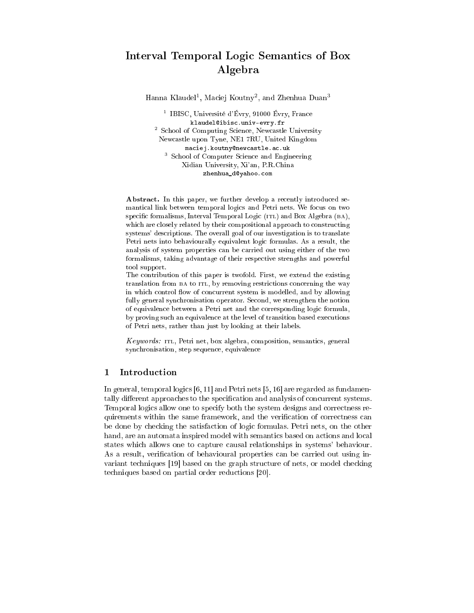# Interval Temporal Logi Semanti
s of Box Algebra

Hanna Klaudel<sup>1</sup>, Maciei Koutny<sup>2</sup>, and Zhenhua Duan<sup>3</sup>

<sup>1</sup> IBISC, Université d'Évry, 91000 Évry, France klaudel@ibisc.univ-evry.fr <sup>2</sup> School of Computing Science, Newcastle University New
astle upon Tyne, NE1 7RU, United Kingdom maciej.koutny@newcastle.ac.uk <sup>3</sup> School of Computer Science and Engineering Xidian University, Xi'an, P.R.China zhenhua\_d@yahoo.com

Abstract. In this paper, we further develop a recently introduced semanti
al link between temporal logi
s and Petri nets. We fo
us on two specific formalisms, Interval Temporal Logic (ITL) and Box Algebra (BA), which are closely related by their compositional approach to constructing systems' des
riptions. The overall goal of our investigation is to translate Petri nets into behaviourally equivalent logi formulas. As a result, the analysis of system properties an be arried out using either of the two formalisms, taking advantage of their respective strengths and powerful tool support.

The ontribution of this paper is twofold. First, we extend the existing translation from BA to ITL, by removing restrictions concerning the way in which control flow of concurrent system is modelled, and by allowing fully general synchronisation operator. Second, we strengthen the notion of equivalen
e between a Petri net and the orresponding logi formula, by proving such an equivalence at the level of transition based executions of Petri nets, rather than just by looking at their labels.

Keywords: itl, Petri net, box algebra, omposition, semanti
s, general synchronisation, step sequence, equivalence

#### 1**Introduction**

In general, temporal logics  $[6, 11]$  and Petri nets  $[5, 16]$  are regarded as fundamentally different approaches to the specification and analysis of concurrent systems. Temporal logics allow one to specify both the system designs and correctness requirements within the same framework, and the verification of correctness can be done by he
king the satisfa
tion of logi formulas. Petri nets, on the other hand, are an automata inspired model with semantics based on actions and local states whi
h allows one to apture ausal relationships in systems' behaviour. As a result, verification of behavioural properties can be carried out using invariant techniques [19] based on the graph structure of nets, or model checking techniques based on partial order reductions [20].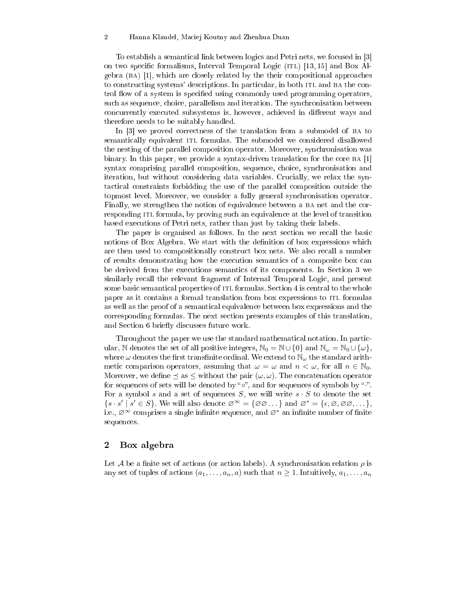#### 2 Hanna Klaudel, Ma
iej Koutny and Zhenhua Duan

To establish a semantical link between logics and Petri nets, we focused in [3] on two specific formalisms, Interval Temporal Logic (ITL) [13, 15] and Box Al $gebra$  (BA) [1], which are closely related by the their compositional approaches to constructing systems' descriptions. In particular, in both ITL and BA the control flow of a system is specified using commonly used programming operators, such as sequence, choice, parallelism and iteration. The synchronisation between concurrently executed subsystems is, however, achieved in different ways and therefore needs to be suitably handled.

In [3] we proved correctness of the translation from a submodel of BA to semantically equivalent ITL formulas. The submodel we considered disallowed the nesting of the parallel omposition operator. Moreover, syn
hronisation was binary. In this paper, we provide a syntax-driven translation for the core  $BA \left[1\right]$ syntax comprising parallel composition, sequence, choice, synchronisation and iteration, but without onsidering data variables. Cru
ially, we relax the syntactical constraints forbidding the use of the parallel composition outside the topmost level. Moreover, we onsider a fully general syn
hronisation operator. Finally, we strengthen the notion of equivalence between a BA net and the corresponding ITL formula, by proving such an equivalence at the level of transition based exe
utions of Petri nets, rather than just by taking their labels.

The paper is organised as follows. In the next section we recall the basic notions of Box Algebra. We start with the definition of box expressions which are then used to ompositionally onstru
t box nets. We also re
all a number of results demonstrating how the exe
ution semanti
s of a omposite box an be derived from the executions semantics of its components. In Section 3 we similarly re
all the relevant fragment of Internal Temporal Logi
, and present some basic semantical properties of ITL formulas. Section 4 is central to the whole paper as it contains a formal translation from box expressions to ITL formulas as well as the proof of a semanti
al equivalen
e between box expressions and the orresponding formulas. The next se
tion presents examples of this translation, and Section 6 briefly discusses future work.

Throughout the paper we use the standard mathemati
al notation. In parti
 ular, N denotes the set of all positive integers,  $\mathbb{N}_0 = \mathbb{N} \cup \{0\}$  and  $\mathbb{N}_\omega = \mathbb{N}_0 \cup \{\omega\},$ where  $\omega$  denotes the first transfinite ordinal. We extend to  $\mathbb{N}_{\omega}$  the standard arithmetic comparison operators, assuming that  $\omega = \omega$  and  $n < \omega$ , for all  $n \in \mathbb{N}_0$ . Moreover, we define  $\leq$  as  $\leq$  without the pair  $(\omega, \omega)$ . The concatenation operator for sequences of sets will be denoted by "o", and for sequences of symbols by ".". For a symbol s and a set of sequences S, we will write  $s \cdot S$  to denote the set  $\{s \cdot s' \mid s' \in S\}$ . We will also denote  $\emptyset^{\infty} = \{\emptyset \emptyset \dots\}$  and  $\emptyset^* = \{\epsilon, \emptyset, \emptyset \emptyset, \dots\}$ , i.e.,  $\varnothing^{\infty}$  comprises a single infinite sequence, and  $\varnothing^*$  an infinite number of finite sequen
es.

## Box algebra

Let A be a finite set of actions (or action labels). A synchronisation relation  $\rho$  is any set of tuples of actions  $(a_1, \ldots, a_n, a)$  such that  $n \geq 1$ . Intuitively,  $a_1, \ldots, a_n$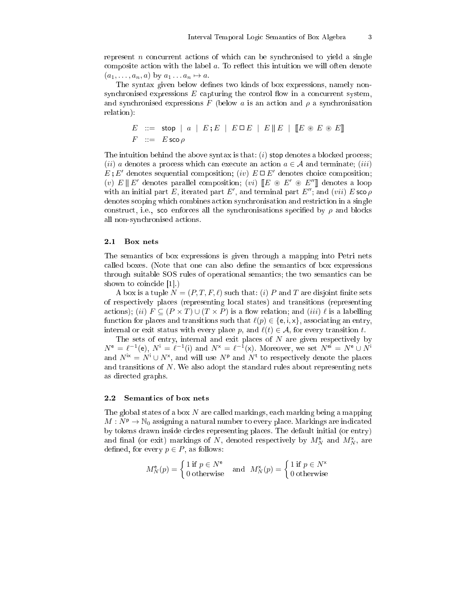represent *n* concurrent actions of which can be synchronised to yield a single composite action with the label  $a$ . To reflect this intuition we will often denote  $(a_1, \ldots, a_n, a)$  by  $a_1 \ldots a_n \mapsto a$ .

The syntax given below defines two kinds of box expressions, namely nonsynchronised expressions  $E$  capturing the control flow in a concurrent system, and synchronised expressions F (below a is an action and  $\rho$  a synchronisation relation):

$$
E \ ::= \ \text{stop} \ | \ a \ | \ E; E \ | \ E \Box E \ | \ E \parallel E \ | \ [E \circledast E \circledast E] \]
$$
\n
$$
F \ ::= \ E \text{ sco } \rho
$$

The intuition behind the above syntax is that:  $(i)$  stop denotes a blocked process; (*ii*) a denotes a process which can execute an action  $a \in \mathcal{A}$  and terminate; (*iii*)  $E: E'$  denotes sequential composition; (iv)  $E \square E'$  denotes choice composition; (v)  $E \parallel E'$  denotes parallel composition; (vi)  $\llbracket E \text{ } \otimes \text{ } E' \text{ } \otimes \text{ } E'' \rrbracket$  denotes a loop with an initial part E, iterated part E', and terminal part  $E''$ ; and  $(vii) E$  sco  $\rho$ denotes s
oping whi
h ombines a
tion syn
hronisation and restri
tion in a single construct, i.e., so enforces all the synchronisations specified by  $\rho$  and blocks all non-syn
hronised a
tions.

## 2.1 Box nets

The semantics of box expressions is given through a mapping into Petri nets called boxes. (Note that one can also define the semantics of box expressions through suitable SOS rules of operational semantics; the two semantics can be shown to coincide  $[1]$ .)

A box is a tuple  $N = (P, T, F, \ell)$  such that: (i) P and T are disjoint finite sets of respe
tively pla
es (representing lo
al states) and transitions (representing actions); (ii)  $F \subseteq (P \times T) \cup (T \times P)$  is a flow relation; and (iii)  $\ell$  is a labelling function for places and transitions such that  $\ell(p) \in \{\mathsf{e}, \mathsf{i}, \mathsf{x}\}\)$ , associating an entry, internal or exit status with every place p, and  $\ell(t) \in \mathcal{A}$ , for every transition t.

The sets of entry, internal and exit places of  $N$  are given respectively by  $N^e = \ell^{-1}(e), N^i = \ell^{-1}(i)$  and  $N^x = \ell^{-1}(x)$ . Moreover, we set  $N^{ei} = N^e \cup N^i$ and  $N^{i\mathsf{x}} = N^{i} \cup N^{\mathsf{x}}$ , and will use  $N^{\mathsf{p}}$  and  $N^{\mathsf{t}}$  to respectively denote the places and transitions of N . We also adopt the standard rules about representing nets as dire
ted graphs.

#### $2.2$ Semantics of box nets

The global states of a box  $N$  are called markings, each marking being a mapping  $M : N^p \to \mathbb{N}_0$  assigning a natural number to every place. Markings are indicated by tokens drawn inside circles representing places. The default initial (or entry) and final (or exit) markings of N, denoted respectively by  $M_N^{\mathsf{e}}$  and  $M_N^{\mathsf{x}}$ , are defined, for every  $p \in P$ , as follows:

$$
M_N^{\mathsf{e}}(p) = \begin{cases} 1 \text{ if } p \in N^{\mathsf{e}} \\ 0 \text{ otherwise} \end{cases} \text{ and } M_N^{\mathsf{x}}(p) = \begin{cases} 1 \text{ if } p \in N^{\mathsf{x}} \\ 0 \text{ otherwise} \end{cases}
$$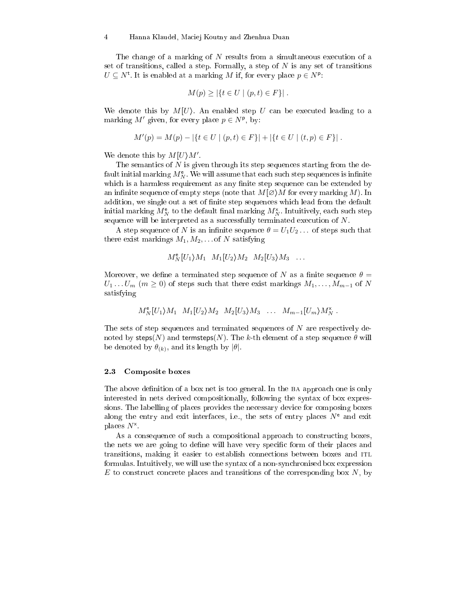#### 4 Hanna Klaudel, Ma
iej Koutny and Zhenhua Duan

The change of a marking of N results from a simultaneous execution of a set of transitions, called a step. Formally, a step of  $N$  is any set of transitions  $U \subseteq N^{\mathsf{t}}$ . It is enabled at a marking M if, for every place  $p \in N^{\mathsf{p}}$ .

$$
M(p) \geq |\{t \in U \mid (p, t) \in F\}|.
$$

We denote this by  $M[U]$ . An enabled step U can be executed leading to a marking  $M'$  given, for every place  $p \in N^{\mathsf{p}}$ , by:

$$
M'(p) = M(p) - |\{t \in U \mid (p, t) \in F\}| + |\{t \in U \mid (t, p) \in F\}|.
$$

We denote this by  $M[U\rangle M'$ .

The semantics of  $N$  is given through its step sequences starting from the default initial marking  $M_N^{\mathsf{e}}$ . We will assume that each such step sequences is infinite which is a harmless requirement as any finite step sequence can be extended by an infinite sequence of empty steps (note that  $M\varnothing$ ) M for every marking M). In addition, we single out a set of finite step sequences which lead from the default initial marking  $M_N^{\mathsf{e}}$  to the default final marking  $M_N^{\mathsf{x}}$ . Intuitively, each such step sequence will be interpreted as a successfully terminated execution of  $N$ .

A step sequence of N is an infinite sequence  $\theta = U_1 U_2 \dots$  of steps such that there exist markings  $M_1, M_2, \ldots$  of N satisfying

$$
M_N^{\mathsf{e}}[U_1\rangle M_1 \quad M_1[U_2\rangle M_2 \quad M_2[U_3\rangle M_3 \quad \dots
$$

Moreover, we define a terminated step sequence of N as a finite sequence  $\theta =$  $U_1 \dots U_m$  ( $m \geq 0$ ) of steps such that there exist markings  $M_1, \dots, M_{m-1}$  of N satisfying

$$
M_N^{\mathsf{e}}[U_1\rangle M_1 \ M_1[U_2\rangle M_2 \ M_2[U_3\rangle M_3 \ \ldots \ M_{m-1}[U_m\rangle M_N^{\mathsf{x}} \ .
$$

The sets of step sequences and terminated sequences of  $N$  are respectively denoted by steps(N) and termsteps(N). The k-th element of a step sequence  $\theta$  will be denoted by  $\theta_{(k)}$ , and its length by  $|\theta|$ .

#### 2.3 Composite boxes

The above definition of a box net is too general. In the BA approach one is only interested in nets derived ompositionally, following the syntax of box expressions. The labelling of places provides the necessary device for composing boxes along the entry and exit interfaces, i.e., the sets of entry places  $N^e$  and exit places  $N^*$ .

As a consequence of such a compositional approach to constructing boxes, the nets we are going to define will have very specific form of their places and transitions, making it easier to establish connections between boxes and ITL formulas. Intuitively, we will use the syntax of a non-syn
hronised box expression  $E$  to construct concrete places and transitions of the corresponding box  $N$ , by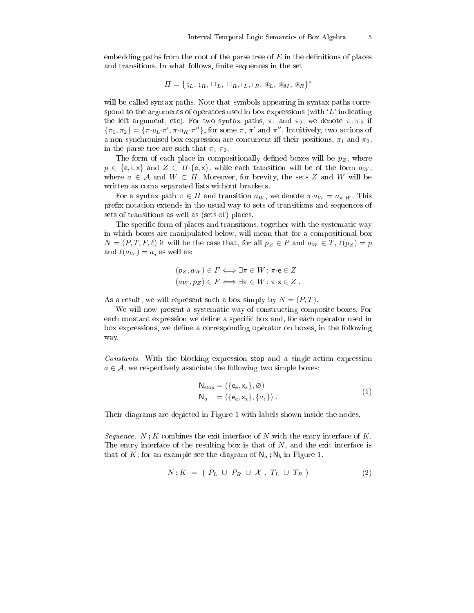embedding paths from the root of the parse tree of  $E$  in the definitions of places and transitions. In what follows, finite sequences in the set

$$
\Pi = \{\mathbf{y}_L, \mathbf{y}_R, \Box_L, \Box_R, \Box_L, \Box_R, \mathcal{B}_L, \mathcal{B}_M, \mathcal{B}_R\}^*
$$

will be called syntax paths. Note that symbols appearing in syntax paths correspond to the arguments of operators used in box expressions (with  $'L'$  indicating the left argument, etc). For two syntax paths,  $\pi_1$  and  $\pi_2$ , we denote  $\pi_1|\pi_2$  if  $\{\pi_1, \pi_2\} = \{\pi \cdot \eta_L \cdot \pi', \pi \cdot \eta_R \cdot \pi''\}$ , for some  $\pi$ ,  $\pi'$  and  $\pi''$ . Intuitively, two actions of a non-synchronised box expression are concurrent iff their positions,  $\pi_1$  and  $\pi_2$ , in the parse tree are such that  $\pi_1|\pi_2$ .

The form of each place in compositionally defined boxes will be  $p_Z$ , where  $p \in \{e, i, x\}$  and  $Z \subset \Pi \{e, x\}$ , while each transition will be of the form  $a_W$ , where  $a \in \mathcal{A}$  and  $W \subset \Pi$ . Moreover, for brevity, the sets Z and W will be written as coma separated lists without brackets.

For a syntax path  $\pi \in \Pi$  and transition  $a_W$ , we denote  $\pi \cdot a_W = a_{\pi \cdot W}$ . This prefix notation extends in the usual way to sets of transitions and sequences of sets of transitions as well as (sets of) places.

The specific form of places and transitions, together with the systematic way in which boxes are manipulated below, will mean that for a compositional box  $N = (P, T, F, \ell)$  it will be the case that, for all  $p_Z \in P$  and  $a_W \in T$ ,  $\ell(p_Z) = p$ and  $\ell(a_W) = a$ , as well as:

$$
(p_Z, a_W) \in F \iff \exists \pi \in W : \pi \cdot e \in Z
$$

$$
(a_W, p_Z) \in F \iff \exists \pi \in W : \pi \cdot x \in Z.
$$

As a result, we will represent such a box simply by  $N = (P, T)$ .

We will now present a systematic way of constructing composite boxes. For each constant expression we define a specific box and, for each operator used in box expressions, we define a corresponding operator on boxes, in the following way.

Constants. With the blocking expression stop and a single-action expression  $a \in \mathcal{A}$ , we respectively associate the following two simple boxes:

$$
N_{stop} = (\{e_e, x_x\}, \varnothing)
$$
  
\n
$$
N_a = (\{e_e, x_x\}, \{a_\epsilon\})
$$
. (1)

Their diagrams are depicted in Figure 1 with labels shown inside the nodes.

Sequence.  $N; K$  combines the exit interface of N with the entry interface of K. The entry interface of the resulting box is that of  $N$ , and the exit interface is that of K; for an example see the diagram of  $\mathsf{N}_a$ ;  $\mathsf{N}_b$  in Figure 1.

$$
N; K = (P_L \cup P_R \cup \mathcal{X}, T_L \cup T_R)
$$
 (2)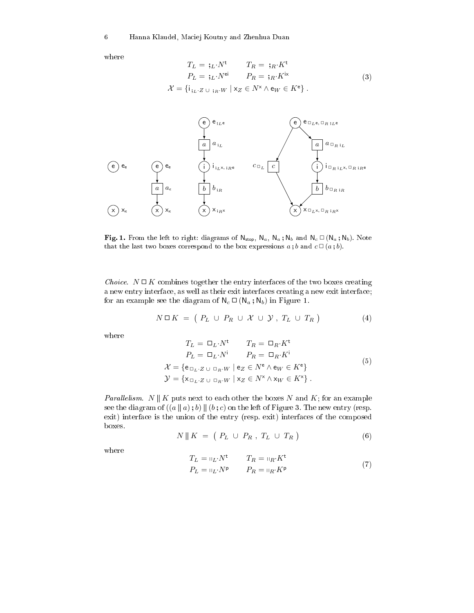where

$$
T_L = \mathfrak{j}_L \cdot N^{\mathfrak{t}} \qquad T_R = \mathfrak{j}_R \cdot K^{\mathfrak{t}}
$$
  
\n
$$
P_L = \mathfrak{j}_L \cdot N^{\mathfrak{e}i} \qquad P_R = \mathfrak{j}_R \cdot K^{\mathfrak{i}x}
$$
  
\n
$$
\mathcal{X} = \{i_{\mathfrak{j}_L \cdot Z \cup \mathfrak{j}_R \cdot W} \mid x_Z \in N^x \wedge \mathfrak{e}_W \in K^{\mathfrak{e}}\}.
$$
  
\n(3)



Fig. 1. From the left to right: diagrams of  $N_{stop}$ ,  $N_a$ ,  $N_a$ ,  $N_b$  and  $N_c \square (N_a; N_b)$ . Note that the last two boxes correspond to the box expressions  $a$ ; b and  $c \Box (a;b)$ .

Choice.  $N \square K$  combines together the entry interfaces of the two boxes creating a new entry interface, as well as their exit interfaces creating a new exit interface; for an example see the diagram of  $N_c \square (N_a ; N_b)$  in Figure 1.

$$
N \Box K = \left( P_L \cup P_R \cup \mathcal{X} \cup \mathcal{Y}, T_L \cup T_R \right) \tag{4}
$$

where

$$
T_L = \Box_L \cdot N^{\dagger} \qquad T_R = \Box_R \cdot K^{\dagger}
$$
  
\n
$$
P_L = \Box_L \cdot N^{\dagger} \qquad P_R = \Box_R \cdot K^{\dagger}
$$
  
\n
$$
\mathcal{X} = \{e_{\Box_L \cdot Z \cup \Box_R \cdot W} \mid e_Z \in N^e \land e_W \in K^e\}
$$
  
\n
$$
\mathcal{Y} = \{x_{\Box_L \cdot Z \cup \Box_R \cdot W} \mid x_Z \in N^x \land x_W \in K^x\}.
$$
  
\n(5)

*Parallelism.* N || K puts next to each other the boxes N and K; for an example see the diagram of  $((a || a); b) || (b; c)$  on the left of Figure 3. The new entry (resp. exit) interface is the union of the entry (resp. exit) interfaces of the composed boxes.

$$
N \parallel K = \left(P_L \cup P_R, T_L \cup T_R\right) \tag{6}
$$

where

$$
T_L = \mathbf{u}_L \cdot N^{\mathsf{t}} \qquad T_R = \mathbf{u}_R \cdot K^{\mathsf{t}}
$$
  
\n
$$
P_L = \mathbf{u}_L \cdot N^{\mathsf{p}} \qquad P_R = \mathbf{u}_R \cdot K^{\mathsf{p}}
$$
 (7)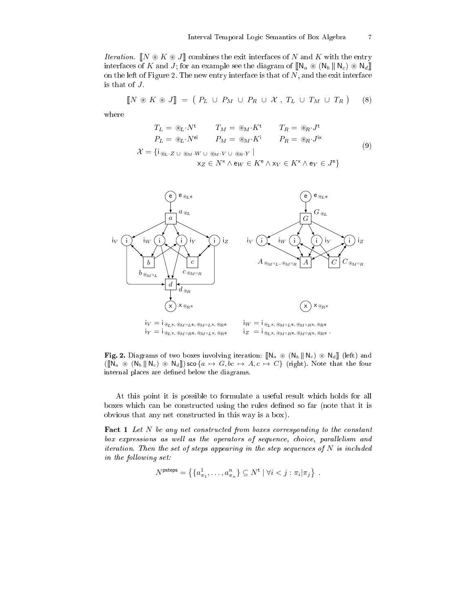*Iteration*.  $\llbracket N \otimes K \otimes J \rrbracket$  combines the exit interfaces of N and K with the entry interfaces of K and J; for an example see the diagram of  $[\![N_a \otimes (N_b) \! | \! | N_c \rangle \otimes N_d]\!]$ on the left of Figure 2. The new entry interface is that of  $N$ , and the exit interface is that of  $J$ .

$$
\llbracket N \circledast K \circledast J \rrbracket = (P_L \cup P_M \cup P_R \cup \mathcal{X}, T_L \cup T_M \cup T_R) \quad (8)
$$

where

$$
T_L = \circledast_L \cdot N^{\mathsf{t}} \qquad T_M = \circledast_M \cdot K^{\mathsf{t}} \qquad T_R = \circledast_R \cdot J^{\mathsf{t}}
$$
  
\n
$$
P_L = \circledast_L \cdot N^{\mathsf{ei}} \qquad P_M = \circledast_M \cdot K^{\mathsf{i}} \qquad P_R = \circledast_R \cdot J^{\mathsf{ix}}
$$
  
\n
$$
\vdots
$$
 (9)

 $\mathcal{X} = \{\mathsf{i}_{\circledast_L \cdot Z \cup \circledast_M \cdot W \cup \circledast_M \cdot V \cup \circledast_R \cdot Y} \mid$  $\mathsf{x}_Z \in \mathit{N}^\mathsf{x} \land \mathsf{e}_W \in \mathit{K}^\mathsf{e} \land \mathsf{x}_V \in \mathit{K}^\mathsf{x} \land \mathsf{e}_Y \in J^\mathsf{e}\}$ 



Fig. 2. Diagrams of two boxes involving iteration:  $\llbracket N_a \otimes (N_b \parallel N_c) \otimes N_d \rrbracket$  (left) and  $([N_a \otimes (N_b \parallel N_c) \otimes N_d])$  sco  $\{a \mapsto G, bc \mapsto A, c \mapsto C\}$  (right). Note that the four internal places are defined below the diagrams.

At this point it is possible to formulate a useful result whi
h holds for all boxes which can be constructed using the rules defined so far (note that it is obvious that any net onstru
ted in this way is a box).

Fact 1 Let N be any net constructed from boxes corresponding to the constant box expressions as wel l as the operators of sequen
e, hoi
e, paral lelism and iteration. Then the set of steps appearing in the step sequences of  $N$  is included in the fol lowing set:

$$
N^{\text{psteps}} = \left\{ \{a_{\pi_1}^1, \ldots, a_{\pi_n}^n \} \subseteq N^{\text{t}} \mid \forall i < j : \pi_i | \pi_j \right\} \ .
$$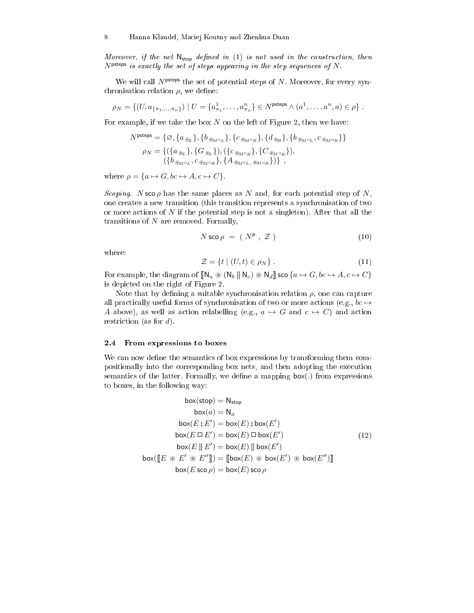Moreover, if the net  $N_{\text{stop}}$  defined in (1) is not used in the construction, then  $N<sup>pteps</sup>$  is exactly the set of steps appearing in the step sequences of  $N$ .

We will call  $N<sup>pteps</sup>$  the set of potential steps of N. Moreover, for every synchronisation relation  $\rho$ , we define:

$$
\rho_N = \{ (U, a_{\{\pi_1, ..., \pi_n\}}) \mid U = \{a_{\pi_1}^1, ..., a_{\pi_n}^n\} \in N^{\text{psteps}} \land (a^1, ..., a^n, a) \in \rho \}.
$$

For example, if we take the box  $N$  on the left of Figure 2, then we have:

$$
\begin{aligned} N^{\rm{psteps}} &= \{\varnothing, \{a_{\circledast_L}\}, \{b_{\circledast_M\sqcup_L}\}, \{c_{\circledast_M\sqcup_R}\}, \{d_{\circledast_R}\}, \{b_{\circledast_M\sqcup_L}, c_{\circledast_M\sqcup_R}\} \} \\ & \rho_N = \{(\{a_{\circledast_L}\}, \{G_{\circledast_L}\}), (\{c_{\circledast_M\sqcup_R}\}, \{C_{\circledast_M\sqcup_R}\}), \\ & (\{b_{\circledast_M\sqcup_L}, c_{\circledast_M\sqcup_R}\}, \{A_{\circledast_M\sqcup_L}, \circledast_M\sqcup_R\})\} \ , \end{aligned}
$$

where  $\rho = \{a \mapsto G, bc \mapsto A, c \mapsto C\}.$ 

Scoping. N sco  $\rho$  has the same places as N and, for each potential step of N, one creates a new transition (this transition represents a synchronisation of two or more actions of  $N$  if the potential step is not a singleton). After that all the transitions of  $N$  are removed. Formally,

$$
N \operatorname{sco} \rho = (N^{\mathsf{p}} \,, \, \mathcal{Z} \,)
$$
 (10)

where:

$$
\mathcal{Z} = \{ t \mid (U, t) \in \rho_N \} . \tag{11}
$$

For example, the diagram of  $[\![\mathbb{N}_a \circledast (\mathbb{N}_b \mid \mid \mathbb{N}_c) \circledast \mathbb{N}_d]\!]$  sco  $\{a \mapsto G, bc \mapsto A, c \mapsto C\}$ is depi
ted on the right of Figure 2.

Note that by defining a suitable synchronisation relation  $\rho$ , one can capture all practically useful forms of synchronisation of two or more actions (e.g.,  $bc \mapsto$ A above), as well as action relabelling (e.g.,  $a \mapsto G$  and  $c \mapsto C$ ) and action restriction (as for  $d$ ).

#### 2.4 From expressions to boxes

We can now define the semantics of box expressions by transforming them compositionally into the orresponding box nets, and then adopting the exe
ution semantics of the latter. Formally, we define a mapping  $box(.)$  from expressions to boxes, in the following way:

$$
box(\text{stop}) = N_{\text{stop}}
$$
  
\n
$$
box(a) = N_a
$$
  
\n
$$
box(E; E') = box(E); box(E')
$$
  
\n
$$
box(E \Box E') = box(E) \Box box(E')
$$
  
\n
$$
box(E \parallel E') = box(E) \Box box(E')
$$
  
\n
$$
box(\llbracket E \circledast E' \circledast E'' \rrbracket) = [\llbracket box(E) \circledast box(E') \circledast box(E'') \rrbracket]
$$
  
\n
$$
box(\llbracket E \circledast E' \circledast E'' \rrbracket) = [\llbracket box(E) \circledast box(E') \circledast box(E'') \rrbracket]
$$
  
\n
$$
box(E \text{ scop}) = box(E) \text{ sco } \rho
$$
  
\n(12)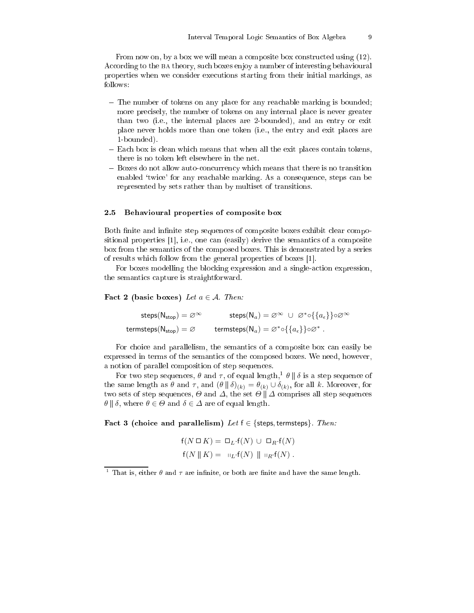From now on, by a box we will mean a composite box constructed using (12). According to the BA theory, such boxes enjoy a number of interesting behavioural properties when we onsider exe
utions starting from their initial markings, as follows:

- The number of tokens on any place for any reachable marking is bounded; more precisely, the number of tokens on any internal place is never greater than two (i.e., the internal pla
es are 2-bounded), and an entry or exit pla
e never holds more than one token (i.e., the entry and exit pla
es are 1-bounded).
- Each box is clean which means that when all the exit places contain tokens, there is no token left elsewhere in the net.
- Boxes do not allow autoon
urren
y whi
h means that there is no transition enabled 'twice' for any reachable marking. As a consequence, steps can be represented by sets rather than by multiset of transitions.

#### 2.5 Behavioural properties of composite box

Both finite and infinite step sequences of composite boxes exhibit clear compositional properties  $[1]$ , i.e., one can (easily) derive the semantics of a composite box from the semanti
s of the omposed boxes. This is demonstrated by a series of results which follow from the general properties of boxes [1].

For boxes modelling the blocking expression and a single-action expression, the semanti
s apture is straightforward.

Fact 2 (basic boxes) Let  $a \in \mathcal{A}$ . Then:

 $\mathsf{steps}(\mathsf{N}_{\mathsf{stop}}) = \varnothing^\infty \qquad \quad \mathsf{steps}(\mathsf{N}_a) = \varnothing^\infty \ \cup \ \varnothing^* \circ \{\{a_\epsilon\}\} \circ \varnothing^\infty$ termsteps $(\mathsf{N}_{\mathsf{stop}}) = \varnothing$  termsteps $(\mathsf{N}_a) = \varnothing^* \circ \{\{a_\epsilon\}\} \circ \varnothing^*$ .

For choice and parallelism, the semantics of a composite box can easily be expressed in terms of the semanti
s of the omposed boxes. We need, however, a notion of parallel omposition of step sequen
es.

For two step sequences,  $\theta$  and  $\tau,$  of equal length, $^1$   $\theta$  ||  $\delta$  is a step sequence of the same length as  $\theta$  and  $\tau$ , and  $(\theta \parallel \delta)_{(k)} = \theta_{(k)} \cup \delta_{(k)}$ , for all k. Moreover, for two sets of step sequences,  $\Theta$  and  $\Delta$ , the set  $\Theta \parallel \Delta$  comprises all step sequences  $\theta \parallel \delta$ , where  $\theta \in \Theta$  and  $\delta \in \Delta$  are of equal length.

Fact 3 (choice and parallelism) Let  $f \in \{\text{steps}, \text{terms}\}\$ . Then:

$$
f(N \Box K) = \Box_L \cdot f(N) \cup \Box_R \cdot f(N)
$$
  

$$
f(N \parallel K) = \Box_L \cdot f(N) \parallel \Box_R \cdot f(N).
$$

That is, either  $\theta$  and  $\tau$  are infinite, or both are finite and have the same length.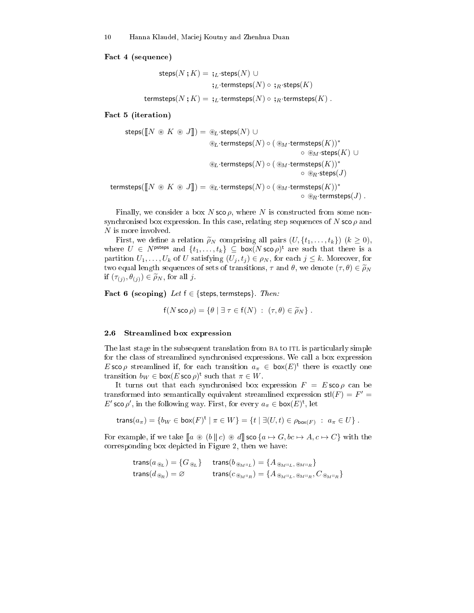Fact 4 (sequence)

$$
\begin{aligned} \mathsf{steps}(N\mathbin{;} K) = \mathbin{\raisebox{.3pt}{:}\!} _L \mathsf{:steps}(N) \,\cup \\ \mathbin{\raisebox{.3pt}{:}\!} _L \mathsf{:terms}_{}(N) \,\circ \, \mathbin{\raisebox{.3pt}{:}\!} _R \mathsf{:steps}(K) \\ \mathsf{termsteps}(N\mathbin{;} K) = \mathbin{\raisebox{.3pt}{:}\!} _L \mathsf{:terms}_{}(N) \,\circ \, \mathbin{\raisebox{.3pt}{:}\!} _R \mathsf{:terms}_{}(K) \,. \end{aligned}
$$

Fact 5 (iteration)

$$
\begin{array}{rcl} \text{steps}([\![N \circledast K \circledast J]\!]) & = & \textcircledast_L \cdot \text{steps}(N) \, \cup \\ & & \textcircledast_L \cdot \text{terms} \text{steps}(N) \circ (\textcircledast_M \cdot \text{terms} \text{steps}(K))^* \\ & & \textcircledast_M \cdot \text{steps}(K) \, \cup \\ & & \textcircledast_L \cdot \text{terms} \text{steps}(N) \circ (\textcircledast_M \cdot \text{terms} \text{steps}(K))^* \\ & & \textcircledast_R \cdot \text{steps}(J) \\ & & \text{terms} \text{steps}([\![N \circledast K \circledast J]\!]) = & \textcircledast_L \cdot \text{terms} \text{steps}(N) \circ (\textcircledast_M \cdot \text{terms} \text{steps}(K))^* \\ & & \textcircledast_R \cdot \text{terms} \text{steps}(J) \ . \end{array}
$$

Finally, we consider a box  $N \operatorname{sco} \rho$ , where N is constructed from some nonsynchronised box expression. In this case, relating step sequences of N sco $\rho$  and N is more involved.

First, we define a relation  $\tilde{\rho}_N$  comprising all pairs  $(U, \{t_1, \ldots, t_k\})$   $(k \geq 0)$ , where  $U \in N^{\text{psteps}}$  and  $\{t_1, \ldots, t_k\} \subseteq \text{box}(N \text{ sco } \rho)^{\text{t}}$  are such that there is a partition  $U_1, \ldots, U_k$  of U satisfying  $(U_j, t_j) \in \rho_N$ , for each  $j \leq k$ . Moreover, for two equal length sequences of sets of transitions,  $\tau$  and  $\theta$ , we denote  $(\tau, \theta) \in \widetilde{\rho}_N$ if  $(\tau_{(j)}, \theta_{(j)}) \in \widetilde{\rho}_N$ , for all j.

Fact 6 (scoping) Let  $f \in \{$  steps, termsteps $\}$ . Then:

$$
f(N \operatorname{sco} \rho) = \{ \theta \mid \exists \tau \in f(N) : (\tau, \theta) \in \widetilde{\rho}_N \} .
$$

#### 2.6 Streamlined box expression

The last stage in the subsequent translation from BA to ITL is particularly simple for the lass of streamlined syn
hronised expressions. We all a box expression E sco  $\rho$  streamlined if, for each transition  $a_{\pi} \in \text{box}(E)^{\text{t}}$  there is exactly one transition  $b_W \in \text{box}(E \text{ sco } \rho)^{\text{t}}$  such that  $\pi \in W$ .

It turns out that each synchronised box expression  $F = E \operatorname{sco} \rho$  can be transformed into semantically equivalent streamlined expression  $\text{stl}(F) = F' =$ E' sco ρ', in the following way. First, for every  $a<sub>π</sub> ∈ box(E)<sup>t</sup>$ , let

trans $(a_{\pi}) = \{b_W \in \text{box}(F)^{\text{t}} \mid \pi \in W\} = \{t \mid \exists (U, t) \in \rho_{\text{box}(F)} : a_{\pi} \in U\}$ .

For example, if we take  $[a \otimes (b || c) \otimes d]$  sco  $\{a \mapsto G, bc \mapsto A, c \mapsto C\}$  with the orresponding box depi
ted in Figure 2, then we have:

$$
\begin{aligned} &\text{trans}(a_{\circledast_L}) = \{G_{\circledast_L}\} &\text{trans}(b_{\circledast_M\text{II}_L}) = \{A_{\circledast_M\text{II}_L, \circledast_M\text{II}_R}\} \\ &\text{trans}(d_{\circledast_R}) = \varnothing &\text{trans}(c_{\circledast_M\text{II}_R}) = \{A_{\circledast_M\text{II}_L, \circledast_M\text{II}_R}, C_{\circledast_M\text{II}_R}\} \end{aligned}
$$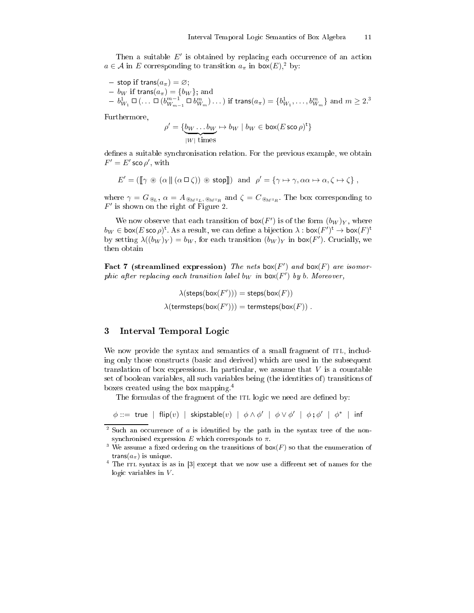Then a suitable  $E'$  is obtained by replacing each occurrence of an action  $a \in \mathcal{A}$  in E corresponding to transition  $a_{\pi}$  in  $\mathsf{box}(E)$ ,<sup>2</sup> by:

- stop if trans $(a_{\pi}) = \varnothing;$ 

- 
$$
b_W
$$
 if  $\text{trans}(a_{\pi}) = \{b_W\}$ ; and  
\n-  $b_{W_1}^1 \square (\dots \square (b_{W_{m-1}}^{m-1} \square b_{W_m}^m) \dots)$  if  $\text{trans}(a_{\pi}) = \{b_{W_1}^1, \dots, b_{W_m}^m\}$  and  $m \ge 2$ .<sup>3</sup>

Furthermore,

$$
\rho' = \{ \underbrace{b_W \dots b_W}_{|W| \text{ times}} \mapsto b_W \mid b_W \in \text{box}(E \text{ sco } \rho)^{\text{t}} \}
$$

defines a suitable synchronisation relation. For the previous example, we obtain  $F'=E'$  sco  $\rho', \text{ with}$ 

$$
E' = (\llbracket \gamma \circledast (\alpha \parallel (\alpha \Box \zeta)) \circledast \text{stop} \rrbracket) \text{ and } \rho' = \{\gamma \mapsto \gamma, \alpha \alpha \mapsto \alpha, \zeta \mapsto \zeta\},
$$

where  $\gamma = G_{\circledast_L}$ ,  $\alpha = A_{\circledast_M\shortparallel_L,\circledast_M\shortparallel_R}$  and  $\zeta = C_{\circledast_M\shortparallel_R}$ . The box corresponding to  $F'$  is shown on the right of Figure 2.

We now observe that each transition of  $\mathsf{box}(F')$  is of the form  $(b_W)_Y$ , where  $b_W\in \textsf{box}(E\,\textsf{sco}\,\rho)^\textsf{t}$ . As a result, we can define a bijection  $\lambda: \textsf{box}(F')^\textsf{t} \to \textsf{box}(F)^\textsf{t}$ by setting  $\lambda((b_W)_Y) = b_W$ , for each transition  $(b_W)_Y$  in box(F'). Crucially, we then obtain

Fact 7 (streamlined expression) The nets box(F') and box(F) are isomorphic after replacing each transition label b<sub>W</sub> in  $\mathsf{box}(F')$  by b. Moreover,

> $\lambda(\mathsf{steps}(\mathsf{box}(F'))) = \mathsf{steps}(\mathsf{box}(F))$  $\lambda$ (termsteps(box $(F'))$ ) = termsteps(box $(F))$ .

#### 3Interval Temporal Logi

We now provide the syntax and semantics of a small fragment of ITL, including only those onstru
ts (basi and derived) whi
h are used in the subsequent translation of box expressions. In particular, we assume that  $V$  is a countable set of boolean variables, all such variables being (the identities of) transitions of boxes reated using the box mapping.4

The formulas of the fragment of the ITL logic we need are defined by:

 $\phi ::=$  true  $|$  flip $(v)$   $|$  skipstable $(v)$   $|$   $\phi \wedge \phi'$   $|$   $\phi \vee \phi'$   $|$   $\phi ; \phi'$   $|$   $\phi^*$   $|$  inf

<sup>&</sup>lt;sup>2</sup> Such an occurrence of  $a$  is identified by the path in the syntax tree of the nonsynchronised expression  $E$  which corresponds to  $\pi$ .

<sup>&</sup>lt;sup>3</sup> We assume a fixed ordering on the transitions of  $\mathsf{box}(F)$  so that the enumeration of trans $(a_{\pi})$  is unique.

The itl syntax is as in  $\beta$  except that we now use a different set of names for the logic variables in  $V$ .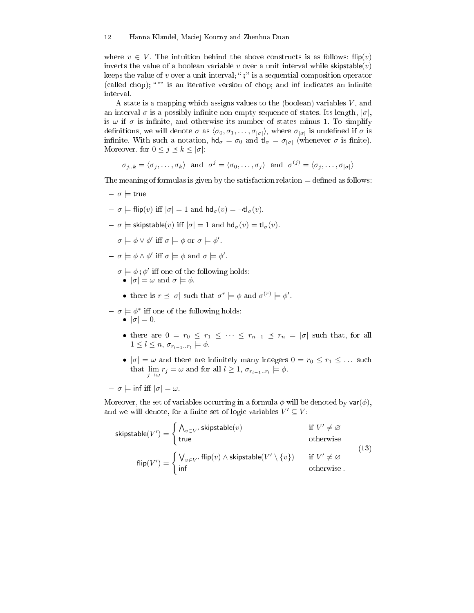where  $v \in V$ . The intuition behind the above constructs is as follows:  $\text{flip}(v)$ inverts the value of a boolean variable v over a unit interval while skipstable $(v)$ keeps the value of  $v$  over a unit interval; ";" is a sequential composition operator (called chop); "\*" is an iterative version of chop; and inf indicates an infinite interval.

A state is a mapping which assigns values to the (boolean) variables  $V$ , and an interval  $\sigma$  is a possibly infinite non-empty sequence of states. Its length,  $|\sigma|$ , is  $\omega$  if  $\sigma$  is infinite, and otherwise its number of states minus 1. To simplify definitions, we will denote  $\sigma$  as  $\langle \sigma_0, \sigma_1, \ldots, \sigma_{|\sigma|} \rangle$ , where  $\sigma_{|\sigma|}$  is undefined if  $\sigma$  is infinite. With such a notation,  $\mathsf{hd}_{\sigma} = \sigma_0$  and  $\mathsf{tl}_{\sigma} = \sigma_{|\sigma|}$  (whenever  $\sigma$  is finite). Moreover, for  $0 \leq j \leq k \leq |\sigma|$ :

 $\sigma_{j..k} = \langle \sigma_j , \ldots , \sigma_k \rangle$  and  $\sigma^j = \langle \sigma_0 , \ldots , \sigma_j \rangle$  and  $\sigma^{(j)} = \langle \sigma_j , \ldots , \sigma_{|\sigma|} \rangle$ 

The meaning of formulas is given by the satisfaction relation  $\models$  defined as follows:

- $\sigma \models$  true
- $-\sigma = \text{flip}(v)$  iff  $|\sigma| = 1$  and  $\text{hd}_{\sigma}(v) = \text{td}_{\sigma}(v)$ .
- $-\sigma$   $\models$  skipstable(v) iff  $|\sigma| = 1$  and  $hd_{\sigma}(v) = tl_{\sigma}(v)$ .
- $\sigma \models \phi \vee \phi' \text{ iff } \sigma \models \phi \text{ or } \sigma \models \phi'.$
- $\sigma = \sigma \models \phi \land \phi' \text{ iff } \sigma \models \phi \text{ and } \sigma \models \phi'.$
- $\sigma \models \phi$ ;  $\phi'$  iff one of the following holds:
	- $|\sigma| = \omega$  and  $\sigma \models \phi$ .
	- there is  $r \leq |\sigma|$  such that  $\sigma^r \models \phi$  and  $\sigma^{(r)} \models \phi'$ .
- $\sigma \models \phi^*$  iff one of the following holds:
	- $|\sigma|=0$ .
	- there are  $0 = r_0 \leq r_1 \leq \cdots \leq r_{n-1} \leq r_n = |\sigma|$  such that, for all  $1 \leq l \leq n$ ,  $\sigma_{r_{l-1} \ldots r_l} \models \phi$ .
	- $|\sigma| = \omega$  and there are infinitely many integers  $0 = r_0 \le r_1 \le \dots$  such that  $\lim_{j \to \omega} r_j = \omega$  and for all  $l \geq 1$ ,  $\sigma_{r_{l-1} \dots r_l} \models \phi$ .

$$
- \sigma \models \inf \text{ iff } |\sigma| = \omega.
$$

Moreover, the set of variables occurring in a formula  $\phi$  will be denoted by var $(\phi)$ , and we will denote, for a finite set of logic variables  $V' \subseteq V$ :

$$
\text{skipstable}(V') = \begin{cases} \bigwedge_{v \in V'} \text{skipstable}(v) & \text{if } V' \neq \varnothing \\ \text{true} & \text{otherwise} \end{cases}
$$
\n
$$
\text{flip}(V') = \begin{cases} \bigvee_{v \in V'} \text{flip}(v) \land \text{skipstable}(V' \setminus \{v\}) & \text{if } V' \neq \varnothing \\ \text{inf} & \text{otherwise} \end{cases}
$$
\n
$$
(13)
$$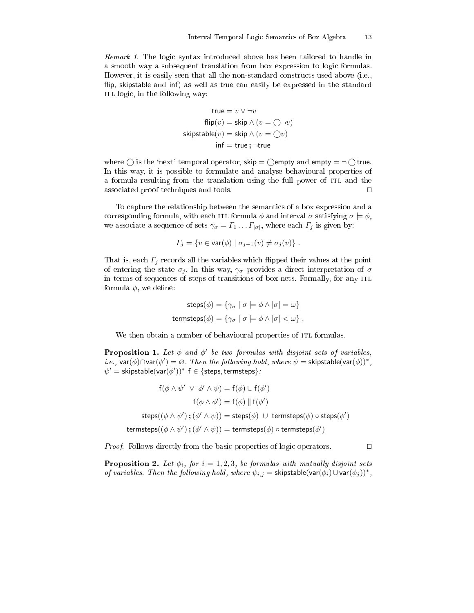remark 1. The logic system introduced to handle to handle introduced to handle in a smooth way a subsequent translation from box expression to logi formulas. However, it is easily seen that all the non-standard constructs used above (i.e., flip, skipstable and inf) as well as true can easily be expressed in the standard ITL logic, in the following way:

$$
\mathsf{true} = v \lor \neg v
$$
\n
$$
\mathsf{flip}(v) = \mathsf{skip} \land (v = \bigcirc \neg v)
$$
\n
$$
\mathsf{skipstable}(v) = \mathsf{skip} \land (v = \bigcirc v)
$$
\n
$$
\mathsf{inf} = \mathsf{true}; \neg \mathsf{true}
$$

where  $\bigcirc$  is the 'next' temporal operator, skip =  $\bigcirc$  empty and empty =  $\neg \bigcirc$  true. In this way, it is possible to formulate and analyse behavioural properties of a formula resulting from the translation using the full power of ITL and the asso
iated proof te
hniques and tools. ⊓⊔

To apture the relationship between the semanti
s of a box expression and a corresponding formula, with each ITL formula  $\phi$  and interval  $\sigma$  satisfying  $\sigma \models \phi$ , we associate a sequence of sets  $\gamma_{\sigma} = \Gamma_1 \dots \Gamma_{|\sigma|}$ , where each  $\Gamma_j$  is given by:

$$
\Gamma_j = \{ v \in \text{var}(\phi) \mid \sigma_{j-1}(v) \neq \sigma_j(v) \} .
$$

That is, each  $\Gamma_j$  records all the variables which flipped their values at the point of entering the state  $\sigma_j$ . In this way,  $\gamma_\sigma$  provides a direct interpretation of  $\sigma$ in terms of sequences of steps of transitions of box nets. Formally, for any ITL formula  $\phi$ , we define:

$$
\mathsf{steps}(\phi) = \{ \gamma_{\sigma} \mid \sigma \models \phi \land |\sigma| = \omega \}
$$
\n
$$
\mathsf{terms}(\phi) = \{ \gamma_{\sigma} \mid \sigma \models \phi \land |\sigma| < \omega \} \ .
$$

We then obtain a number of behavioural properties of ITL formulas.

**Proposition 1.** Let  $\phi$  and  $\phi'$  be two formulas with disjoint sets of variables, *i.e.*,  $\text{var}(\phi) \cap \text{var}(\phi') = \varnothing$ . Then the following hold, where  $\psi = \text{skipstable}(\text{var}(\phi))^*$ ,  $\psi' = \mathsf{skipstable}(\mathsf{var}(\phi'))^* \, \, \mathsf{f} \in \{\mathsf{steps}, \mathsf{terms} \}$  :

$$
f(\phi \land \psi' \lor \phi' \land \psi) = f(\phi) \cup f(\phi')
$$
  
\n
$$
f(\phi \land \phi') = f(\phi) \parallel f(\phi')
$$
  
\n
$$
steps((\phi \land \psi'); (\phi' \land \psi)) = steps(\phi) \cup terms_{}(\phi) \circ steps(\phi')
$$
  
\n
$$
terms_{}(\phi \land \psi'); (\phi' \land \psi)) = terms_{}(\phi) \circ terms_{}(\phi')
$$

*Proof.* Follows directly from the basic properties of logic operators. □

**Proposition 2.** Let  $\phi_i$ , for  $i = 1, 2, 3$ , be formulas with mutually disjoint sets of variables. Then the following hold, where  $\psi_{i,j} = \mathsf{skipstable}(\mathsf{var}(\phi_i) \cup \mathsf{var}(\phi_j))^*$ ,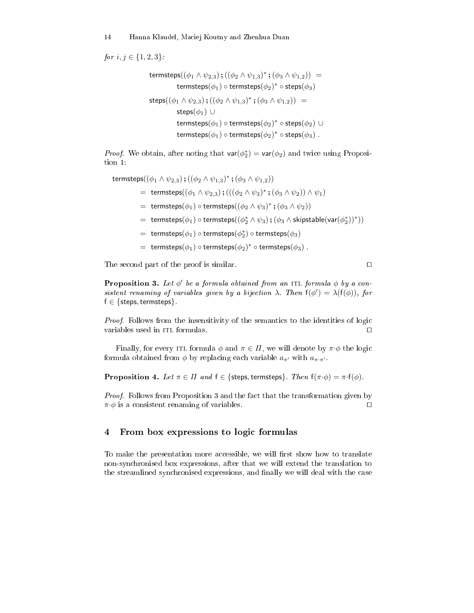for  $i, j \in \{1, 2, 3\}$  :

termsteps $((\phi_1 \wedge \psi_{2,3})$  ;  $((\phi_2 \wedge \psi_{1,3})^*$  ;  $(\phi_3 \wedge \psi_{1,2}))$  = termsteps $(\phi_1) \circ$  termsteps $(\phi_2)^* \circ$  steps $(\phi_3)$ steps $((\phi_1 \wedge \psi_{2,3})$ ; $((\phi_2 \wedge \psi_{1,3})^*$ ; $(\phi_3 \wedge \psi_{1,2})$ ) = steps $(\phi_1)$  ∪ termsteps $(\phi_1)$   $\circ$  termsteps $(\phi_2)^*$   $\circ$  steps $(\phi_2) \, \cup \,$ termsteps $(\phi_1) \circ$  termsteps $(\phi_2)^* \circ$  steps $(\phi_3)$  .

*Proof.* We obtain, after noting that  $\text{var}(\phi_2^*) = \text{var}(\phi_2)$  and twice using Proposition 1:

```
termsteps((\phi_1 \wedge \psi_{2,3}) ; ((\phi_2 \wedge \psi_{1,3})^* ; (\phi_3 \wedge \psi_{1,2}))= termsteps((\phi_1 \wedge \psi_{2,3}); (((\phi_2 \wedge \psi_3)^*; (\phi_3 \wedge \psi_2)) \wedge \psi_1)= termsteps(\phi_1) \circ termsteps((\phi_2 \wedge \psi_3)^*; (\phi_3 \wedge \psi_2))= \text{ terms}(\phi_1) \circ \text{terms}((\phi_2^* \wedge \psi_3); (\phi_3 \wedge \text{skipstable}(\textsf{var}(\phi_2^*))^*))= \text{~terms}(\phi_1) \circ \text{terms}(\phi_2^*) \circ \text{terms}(\phi_3)= termsteps(\phi_1) \circ termsteps(\phi_2)^* \circ termsteps(\phi_3) .
```
The second part of the proof is similar. □

**Proposition 3.** Let  $\phi'$  be a formula obtained from an ITL formula  $\phi$  by a consistent renaming of variables given by a bijection  $\lambda$ . Then  $f(\phi') = \lambda(f(\phi))$ , for  $f \in \{$  steps, termsteps  $\}.$ 

Proof. Follows from the insensitivity of the semanti
s to the identities of logi variables used in itl formulas. ⊓⊔

Finally, for every ITL formula  $\phi$  and  $\pi \in \Pi$ , we will denote by  $\pi \cdot \phi$  the logic formula obtained from  $\phi$  by replacing each variable  $a_{\pi'}$  with  $a_{\pi \cdot \pi'}$ .

**Proposition 4.** Let  $\pi \in \Pi$  and  $f \in \{\text{steps}, \text{terms}\}$ . Then  $f(\pi \cdot \phi) = \pi \cdot f(\phi)$ .

Proof. Follows from Proposition 3 and the fa
t that the transformation given by  $\pi \cdot \phi$  is a consistent renaming of variables. □

#### From box expressions to logi formulas  $\overline{4}$

To make the presentation more accessible, we will first show how to translate non-syn
hronised box expressions, after that we will extend the translation to the streamlined synchronised expressions, and finally we will deal with the case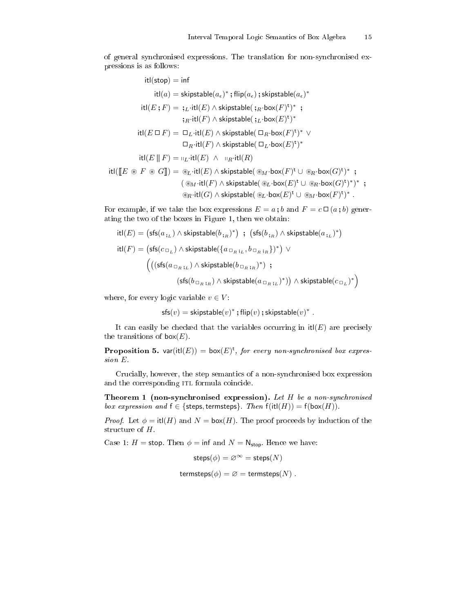of general syn
hronised expressions. The translation for non-syn
hronised expressions is as follows:

$$
\begin{aligned} \operatorname{itl}(\mathsf{stop})&=\operatorname{inf}\\ \operatorname{itl}(a)&=\operatorname{skipstable}(a_\epsilon)^*,\operatorname{flip}(a_\epsilon);\operatorname{skipstable}(a_\epsilon)^*\\ \operatorname{itl}(E\,;F)&=\,;\!\!\operatorname{L}\cdot \operatorname{itl}(E)\wedge \operatorname{skipstable}(\,;\!\operatorname{R}\cdot \operatorname{box}(F)^\mathtt{t})^*\,\,\\ &\,\;\:\operatorname{L}\cdot \operatorname{trl}(F)\wedge \operatorname{skipstable}(\,;\!\operatorname{L}\cdot \operatorname{box}(E)^\mathtt{t})^*\\ \operatorname{itl}(E\,\Box\, F)&=\,\Box_L\cdot \operatorname{itl}(E)\wedge \operatorname{skipstable}(\,\Box_R\cdot \operatorname{box}(F)^\mathtt{t})^*\,\vee\\ &\,\;\:\Box_R\cdot \operatorname{itl}(F)\wedge \operatorname{skipstable}(\,\Box_L\cdot \operatorname{box}(E)^\mathtt{t})^*\\ \operatorname{itl}(\mathbb{E}\,\parallel\, F)&=\operatorname{uL}\cdot \operatorname{itl}(E)\,\wedge\,\:\operatorname{uR}\cdot \operatorname{itl}(R)\\ \operatorname{itl}(\mathbb{E}\,\otimes\, F\,\circledast\, G\mathbb{I})&=\circ\!\!\operatorname{d}_L\cdot \operatorname{itl}(E)\,\wedge\,\operatorname{skipstable}(\circledast_M\cdot \operatorname{box}(F)^\mathtt{t}\,\cup\,\circledast_R\cdot \operatorname{box}(G)^\mathtt{t})^*\,\,;\\ &\,\;\:\:\:\:\:\left(\circledast_M\cdot \operatorname{itl}(F)\,\wedge\,\operatorname{skipstable}(\circledast_L\cdot \operatorname{box}(E)^\mathtt{t}\,\cup\,\circledast_R\cdot \operatorname{box}(G)^\mathtt{t})^*\right)^*\,\,;\\ \end{aligned}
$$

 $\circledast_R\cdot \mathsf{itl}(G) \wedge \mathsf{skipstable}(\circledast_L\cdot \mathsf{box}(E)^\mathsf{t} \cup \circledast_M\cdot \mathsf{box}(F)^\mathsf{t})^* \;.$ 

For example, if we take the box expressions  $E = a$ ; b and  $F = c \Box (a ; b)$  generating the two of the boxes in Figure 1, then we obtain:

$$
\begin{aligned} \text{itl}(E) &= \left( \mathsf{sfs}(a_{\,\mathrm{i}\:\!L}) \land \mathsf{skipstable}(b_{\,\mathrm{i}\:\!R})^* \right) \; ; \; \left( \mathsf{sfs}(b_{\,\mathrm{i}\:\!R}) \land \mathsf{skipstable}(a_{\,\mathrm{i}\:\!L})^* \right) \\ \text{itl}(F) &= \left( \mathsf{sfs}(c_{\,\mathbb{G}_L}) \land \mathsf{skipstable}(\{ a_{\,\mathbb{G}_R\,\mathrm{i}\:\!L}, b_{\,\mathbb{G}_R\,\mathrm{i}\:\!R} \})^* \right) \; \lor \\ & \left( \left( \left( \mathsf{sfs}(a_{\,\mathbb{G}_R\,\mathrm{i}\:\!L}) \land \mathsf{skipstable}(b_{\,\mathbb{G}_R\,\mathrm{i}\:\!R})^* \right) \right) \; ; \\ & \left( \mathsf{sfs}(b_{\,\mathbb{G}_R\,\mathrm{i}\:\!R}) \land \mathsf{skipstable}(a_{\,\mathbb{G}_R\,\mathrm{i}\:\!L})^* \right) \right) \land \mathsf{skipstable}(c_{\,\mathbb{G}_L})^* \right) \end{aligned}
$$

where, for every logic variable  $v \in V$ :

 $i \in \mathbb{N}$ 

 $\mathsf{sfs}(v) = \mathsf{skipstable}(v)^*$ ; flip $(v)$ ; skipstable $(v)^*$ .

It can easily be checked that the variables occurring in  $it(E)$  are precisely the transitions of  $\textsf{box}(E)$ .

**Proposition 5.** var(itl(E)) = box(E)<sup>t</sup>, for every non-synchronised box expres $sion E$ .

Cru
ially, however, the step semanti
s of a non-syn
hronised box expression and the corresponding ITL formula coincide.

Theorem 1 (non-synchronised expression). Let H be a non-synchronised box expression and  $f \in \{\text{steps}, \text{terms}\}$ . Then  $f(\text{it}(H)) = f(\text{box}(H))$ .

*Proof.* Let  $\phi = \text{itl}(H)$  and  $N = \text{box}(H)$ . The proof proceeds by induction of the structure of  $H$ .

Case 1:  $H =$  stop. Then  $\phi =$  inf and  $N = N_{\text{stop}}$ . Hence we have:

$$
\mathsf{steps}(\phi) = \varnothing^\infty = \mathsf{steps}(N)
$$

termsteps $(\phi) = \varnothing =$  termsteps $(N)$ .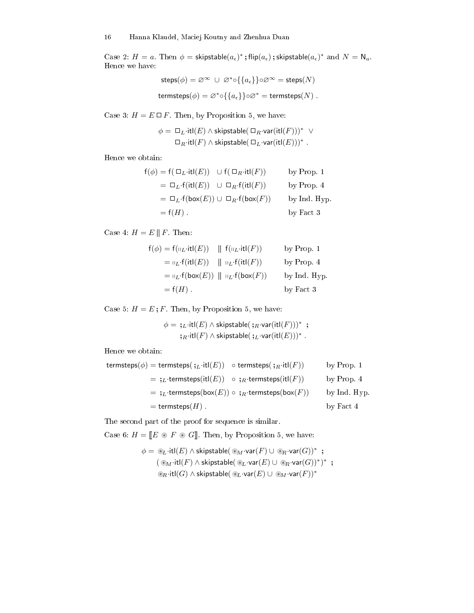Case 2:  $H = a$ . Then  $\phi = \mathsf{skipstable}(a_{\epsilon})^*$ ; flip $(a_{\epsilon})$ ; skipstable $(a_{\epsilon})^*$  and  $N = N_a$ . Hence we have:

$$
\begin{aligned} \mathsf{steps}(\phi) = \varnothing^{\infty} \ \cup \ \varnothing^* \circ \{\{a_\epsilon\}\} \circ \varnothing^{\infty} = \mathsf{steps}(N) \\ \mathsf{terms}(\phi) = \varnothing^* \circ \{\{a_\epsilon\}\} \circ \varnothing^* = \mathsf{terms}(\mathit{N}) \ . \end{aligned}
$$

Case 3:  $H = E \square F$ . Then, by Proposition 5, we have:

$$
\phi = \Box_L \cdot \text{itl}(E) \land \text{skipstable}(\Box_R \cdot \text{var}(\text{itl}(F)))^* \lor \Box_R \cdot \text{itl}(F) \land \text{skipstable}(\Box_L \cdot \text{var}(\text{itl}(E)))^*.
$$

Hen
e we obtain:

| $f(\phi) = f(\Box_L \cdot \text{itI}(E)) \cup f(\Box_R \cdot \text{itI}(F))$ | by Prop. 1   |
|------------------------------------------------------------------------------|--------------|
| $= \Box_L \cdot f(\text{itl}(E)) \cup \Box_R \cdot f(\text{itl}(F))$         | by Prop. 4   |
| $= \Box_L \cdot f(\text{box}(E)) \cup \Box_R \cdot f(\text{box}(F))$         | by Ind. Hyp. |
| $=f(H)$ .                                                                    | by Fact 3    |

Case 4:  $H = E \parallel F$ . Then:

$$
f(\phi) = f(\mathsf{II}_L \cdot \mathsf{itl}(E)) \quad || f(\mathsf{II}_L \cdot \mathsf{itl}(F)) \qquad \text{by Prop. 1}
$$
  
= 
$$
\mathsf{II}_L \cdot f(\mathsf{itl}(E)) \quad || \mathsf{II}_L \cdot f(\mathsf{itl}(F)) \qquad \text{by Prop. 4}
$$
  
= 
$$
\mathsf{II}_L \cdot f(\mathsf{box}(E)) \quad || \mathsf{II}_L \cdot f(\mathsf{box}(F)) \qquad \text{by Ind. Hyp.}
$$
  
= 
$$
f(H) \qquad \qquad \text{by Fact 3}
$$

Case 5:  $H = E$ ; F. Then, by Proposition 5, we have:

$$
\phi = \mathfrak{j}_L \cdot \mathfrak{itl}(E) \land \mathsf{skipstable}(\mathfrak{j}_R \cdot \mathsf{var}(\mathfrak{itl}(F)))^* \; ; \\ \mathfrak{j}_R \cdot \mathfrak{itl}(F) \land \mathsf{skipstable}(\mathfrak{j}_L \cdot \mathsf{var}(\mathfrak{itl}(E)))^* \; .
$$

Hen
e we obtain:

\n
$$
\text{terms}(\phi) = \text{terms}(\mathfrak{z}_L \cdot \text{it}(E)) \quad \text{otherwise}(\mathfrak{z}_R \cdot \text{it}(F)) \quad \text{by Prop. 1}
$$
\n

\n\n $= \mathfrak{z}_L \cdot \text{terms}(\text{it}(E)) \quad \circ \mathfrak{z}_R \cdot \text{terms}(\text{it}(F)) \quad \text{by Prop. 4}$ \n

\n\n $= \mathfrak{z}_L \cdot \text{terms}(\text{box}(E)) \circ \mathfrak{z}_R \cdot \text{terms}(\text{box}(F)) \quad \text{by Ind. Hyp. 4}$ \n

\n\n $= \text{terms}(\text{box}(E)) \quad \circ \mathfrak{z}_R \cdot \text{terms}(\text{box}(F)) \quad \text{by Ind. Hyp. 5}$ \n

The second part of the proof for sequence is similar.

Case 6:  $H = \llbracket E \otimes F \otimes G \rrbracket$ . Then, by Proposition 5, we have:

$$
\phi = \mathcal{E}_L \cdot \text{itl}(E) \wedge \text{skipstable}(\mathcal{E}_M \cdot \text{var}(F) \cup \mathcal{E}_R \cdot \text{var}(G))^* ;
$$
  

$$
(\mathcal{E}_M \cdot \text{itl}(F) \wedge \text{skipstable}(\mathcal{E}_L \cdot \text{var}(E) \cup \mathcal{E}_R \cdot \text{var}(G))^*)^* ;
$$
  

$$
\mathcal{E}_R \cdot \text{itl}(G) \wedge \text{skipstable}(\mathcal{E}_L \cdot \text{var}(E) \cup \mathcal{E}_M \cdot \text{var}(F))^*
$$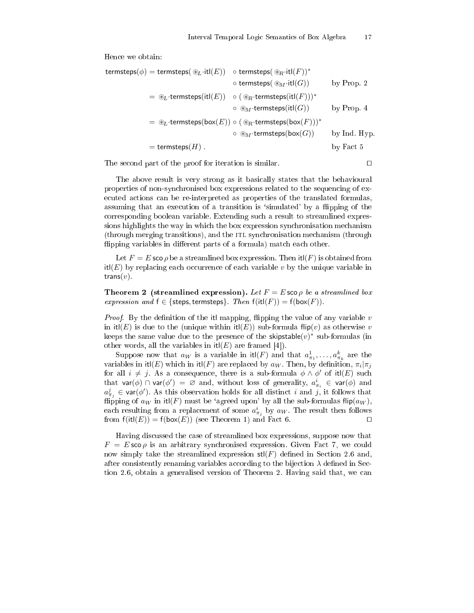Hence we obtain:

$$
\begin{aligned} \mathsf{termsteps}(\phi) & = \mathsf{termsteps}(\circledast_L \cdot \mathsf{itl}(E)) & \circ \mathsf{termsteps}(\circledast_R \cdot \mathsf{itl}(F))^* \\ & \circ \mathsf{termsteps}(\circledast_M \cdot \mathsf{itl}(G)) & \quad \text{by Prop. 2} \\ & = \circledast_L \cdot \mathsf{termsteps}(\mathsf{itl}(E)) & \circ (\circledast_R \cdot \mathsf{termsteps}(\mathsf{itl}(F)))^* \\ & \circ \circledast_M \cdot \mathsf{termsteps}(\mathsf{ibc}(F))) & \quad \text{by Prop. 4} \\ & = \circledast_L \cdot \mathsf{termsteps}(\mathsf{box}(E)) & \circ (\circledast_R \cdot \mathsf{termsteps}(\mathsf{box}(F)))^* \\ & \circ \circledast_M \cdot \mathsf{termsteps}(\mathsf{box}(G)) & \quad \text{by Ind. Hyp.} \\ & = \mathsf{termsteps}(H) \,. & \quad \text{by Fact 5} \end{aligned}
$$

The second part of the proof for iteration is similar. □

The above result is very strong as it basi
ally states that the behavioural properties of non-synchronised box expressions related to the sequencing of exe
uted a
tions an be re-interpreted as properties of the translated formulas, assuming that an execution of a transition is 'simulated' by a flipping of the orresponding boolean variable. Extending su
h a result to streamlined expressions highlights the way in which the box expression synchronisation mechanism (through merging transitions), and the itl syn
hronisation me
hanism (through flipping variables in different parts of a formula) match each other.

Let  $F = E$  sco  $\rho$  be a streamlined box expression. Then itl(F) is obtained from  $it(E)$  by replacing each occurrence of each variable v by the unique variable in trans $(v)$ .

**Theorem 2** (streamlined expression). Let  $F = E$  sco  $\rho$  be a streamlined box expression and  $f \in \{\text{steps}, \text{terms}\}$ . Then  $f(\text{it}(F)) = f(\text{box}(F))$ .

*Proof.* By the definition of the itl mapping, flipping the value of any variable  $v$ in itl(E) is due to the (unique within itl(E)) sub-formula flip(v) as otherwise v keeps the same value due to the presence of the skipstable $(v)^*$  sub-formulas (in other words, all the variables in  $it(E)$  are framed [4]).

Suppose now that  $a_W$  is a variable in  $\mathrm{itl}(F)$  and that  $a^1_{\pi_1}, \ldots, a^k_{\pi_k}$  are the variables in itl $(E)$  which in itl $(F)$  are replaced by  $a_W$ . Then, by definition,  $\pi_i|\pi_j$ for all  $i \neq j$ . As a consequence, there is a sub-formula  $\phi \wedge \phi'$  of itl(E) such that  $var(\phi) \cap var(\phi') = \varnothing$  and, without loss of generality,  $a^i_{\pi_i} \in var(\phi)$  and  $a_{\pi_j}^j \in \textsf{var}(\phi')$ . As this observation holds for all distinct i and j, it follows that flipping of  $a_W$  in itl(F) must be 'agreed upon' by all the sub-formulas flip( $a_W$ ), each resulting from a replacement of some  $a_{\pi_j}^i$  by  $a_W$ . The result then follows from  $f(it(L)) = f(box(E))$  (see Theorem 1) and Fact 6.

Having dis
ussed the ase of streamlined box expressions, suppose now that  $F = E$  sco  $\rho$  is an arbitrary synchronised expression. Given Fact 7, we could now simply take the streamlined expression  $\text{stl}(F)$  defined in Section 2.6 and, after consistently renaming variables according to the bijection  $\lambda$  defined in Section 2.6, obtain a generalised version of Theorem 2. Having said that, we can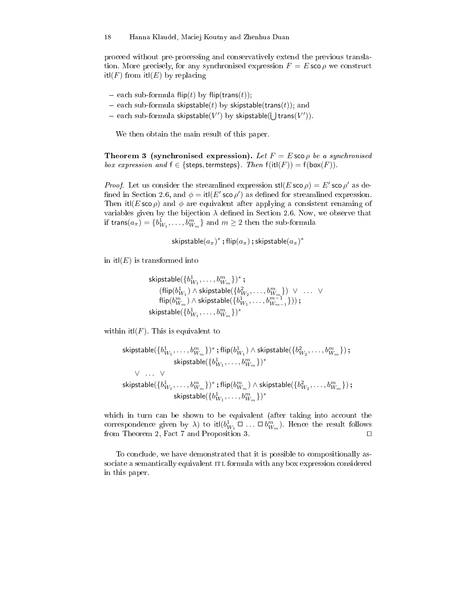pro
eed without pre-pro
essing and onservatively extend the previous translation. More precisely, for any synchronised expression  $F = E \text{ sco } \rho$  we construct  $it(f)$  from  $it(f)$  by replacing

- $\alpha$  each sub-formula flip(t) by flip(trans(t));
- each sub-formula skipstable(t) by skipstable(trans(t)); and
- each sub-formula skipstable $(V')$  by skipstable $(\bigcup \textsf{trans}(V'))$ .

We then obtain the main result of this paper.

**Theorem 3 (synchronised expression).** Let  $F = E$  sco  $\rho$  be a synchronised box expression and  $f \in \{\text{steps}, \text{terms}\}$ . Then  $f(\text{itl}(F)) = f(\text{box}(F))$ .

*Proof.* Let us consider the streamlined expression  $\text{stl}(E \text{ sco } \rho) = E' \text{ sco } \rho'$  as defined in Section 2.6, and  $\phi = \text{itl}(E' \text{ sco } \rho')$  as defined for streamlined expression. Then it  $(E \simeq \rho)$  and  $\phi$  are equivalent after applying a consistent renaming of variables given by the bijection  $\lambda$  defined in Section 2.6. Now, we observe that if  $\textsf{trans}(a_{\pi}) = \{b^1_{W_1}, \ldots, b^m_{W_m}\}$  and  $m \geq 2$  then the sub-formula

skipstable $(a_\pi)^*$  ; flip $(a_\pi)$  ; skipstable $(a_\pi)^*$ 

in  $itI(E)$  is transformed into

```
skipstable(\{b_{W_1}^1,\ldots,b_{W_m}^m\})^* ;
      (\mathsf{flip}(b_{W_1}^1) \land \mathsf{skipstable}(\{b_{W_2}^2, \ldots, b_{W_m}^m\}) \ \lor \ \ldots \ \ \lor\mathsf{flip}(b_{W_m}^m) \wedge \mathsf{skipstable}(\{b_{W_1}^1, \dots, b_{W_{m-1}}^{m-1}\})) ;
skipstable(\{b_{W_1}^1, \ldots, b_{W_m}^m\})^*
```
within  $it(f)$ . This is equivalent to

$$
\begin{aligned} \mathsf{skipstable}(&\{b^1_{W_1},\ldots,b^m_{W_m}\})^*~;\mathsf{flip}(b^1_{W_1}) \wedge \mathsf{skipstable}(\{b^2_{W_2},\ldots,b^m_{W_m}\})~;\\ &~~\mathsf{skipstable}(\{b^1_{W_1},\ldots,b^m_{W_m}\})^*\\ &~~\vee~\ldots~\vee\\ &~~\mathsf{skipstable}(\{b^1_{W_1},\ldots,b^m_{W_m}\})^*~;\mathsf{flip}(b^m_{W_m}) \wedge \mathsf{skipstable}(\{b^2_{W_2},\ldots,b^m_{W_m}\})~;\\ &~~\mathsf{skipstable}(\{b^1_{W_1},\ldots,b^m_{W_m}\})^* \end{aligned}
$$

which in turn can be shown to be equivalent (after taking into account the correspondence given by  $\lambda$ ) to itl $(b^1_{W_1}\square\ldots\square\,b^m_{W_m})$ . Hence the result follows from Theorem 2, Fact 7 and Proposition 3. □

To conclude, we have demonstrated that it is possible to compositionally associate a semantically equivalent ITL formula with any box expression considered in this paper.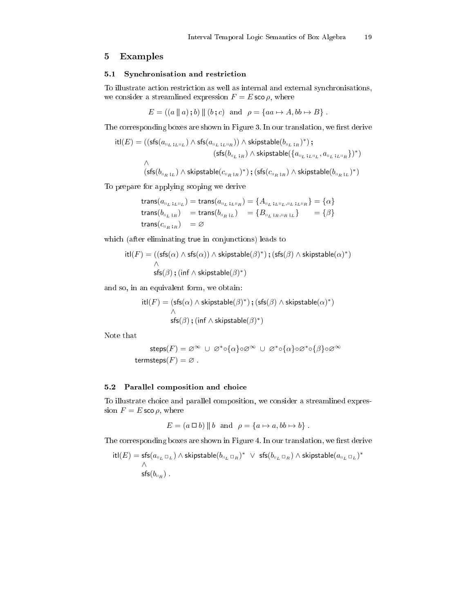#### 5Examples

## 5.1 Syn
hronisation and restri
tion

To illustrate a
tion restri
tion as well as internal and external syn
hronisations, we consider a streamlined expression  $F = E \text{ sco } \rho$ , where

 $E = ((a \parallel a); b) \parallel (b; c)$  and  $\rho = \{aa \mapsto A, bb \mapsto B\}$ .

The corresponding boxes are shown in Figure 3. In our translation, we first derive

$$
\begin{aligned} \text{itl}(E) = & \left( (\mathsf{sfs}(a_{\shortparallel_L \; ;_L\shortparallel_L}) \land \mathsf{sfs}(a_{\shortparallel_L \; ;_L\shortparallel_R}) ) \land \mathsf{skipstable}(b_{\shortparallel_L \; ;_R})^* \right) \text{;} \\ & \left. (\mathsf{sfs}(b_{\shortparallel_L \; ;_R}) \land \mathsf{skipstable}( \{ a_{\shortparallel_L \; ;_L\shortparallel_L}, a_{\shortparallel_L \; ;_L\shortparallel_R} \})^* \right) \\ & \land \\ & \left. (\mathsf{sfs}(b_{\shortparallel_R \; ;_L}) \land \mathsf{skipstable}(c_{\shortparallel_R \; ;_R})^*) \text{ } ; (\mathsf{sfs}(c_{\shortparallel_R \; ;_R}) \land \mathsf{skipstable}(b_{\shortparallel_R \; ;_L})^*) \right) \end{aligned}
$$

To prepare for applying s
oping we derive

trans
$$
(a_{\mathsf{II}_L;L\mathsf{II}_L})
$$
 = trans $(a_{\mathsf{II}_L;L\mathsf{II}_R})$  = { $A_{\mathsf{II}_L;L\mathsf{II}_L;L\mathsf{II}_L;L\mathsf{II}_R}$ } = { $\alpha$ }  
trans $(b_{\mathsf{II}_L;R})$  = trans $(b_{\mathsf{II}_R;L})$  = { $B_{\mathsf{II}_L;R\mathsf{II}_R;L}$ } = { $\beta$ }  
trans $(c_{\mathsf{II}_R;R})$  =  $\emptyset$ 

which (after eliminating true in conjunctions) leads to

$$
\begin{aligned} \mathsf{itl}(F) & = \left( (\mathsf{sfs}(\alpha) \land \mathsf{sfs}(\alpha)) \land \mathsf{skipstable}(\beta)^* \right) \mathsf{; (sfs}(\beta) \land \mathsf{skipstable}(\alpha)^* ) \\ & \land \\ \mathsf{sfs}(\beta) \mathsf{; (inf} \land \mathsf{skipstable}(\beta)^* ) \end{aligned}
$$

and so, in an equivalent form, we obtain:

$$
\begin{aligned} \mathsf{itl}(F) & = (\mathsf{sfs}(\alpha) \land \mathsf{skipstable}(\beta)^*) \text{; (sfs}(\beta) \land \mathsf{skipstable}(\alpha)^*) \\ & \land \\ \mathsf{sfs}(\beta) \text{; (inf } \land \mathsf{skipstable}(\beta)^*) \end{aligned}
$$

Note that

$$
\mathsf{steps}(F) = \varnothing^\infty \ \cup \ \varnothing^* \circ \{\alpha\} \circ \varnothing^\infty \ \cup \ \varnothing^* \circ \{\alpha\} \circ \varnothing^* \circ \{\beta\} \circ \varnothing^\infty
$$
 
$$
\mathsf{terms}(\mathit{t}(\mathit{F}) = \varnothing \ .
$$

## 5.2 Parallel omposition and hoi
e

To illustrate hoi
e and parallel omposition, we onsider a streamlined expression  $F = E$  sco  $\rho$ , where

$$
E = (a \Box b) || b \text{ and } \rho = \{a \mapsto a, bb \mapsto b\}.
$$

The corresponding boxes are shown in Figure 4. In our translation, we first derive

$$
\begin{array}{l} \mathrm{itl}(E)=\mathsf{sfs}(a_{\shortparallel_L\:\Box_L})\:\wedge\: \mathsf{skipstable}(b_{\shortparallel_L\:\Box_R})^*\ \ \vee\ \, \mathsf{sfs}(b_{\shortparallel_L\:\Box_R})\:\wedge\: \mathsf{skipstable}(a_{\shortparallel_L\:\Box_L})^*\\qquad \qquad \wedge\\ \mathsf{sfs}(b_{\shortparallel_R})\:.\end{array}
$$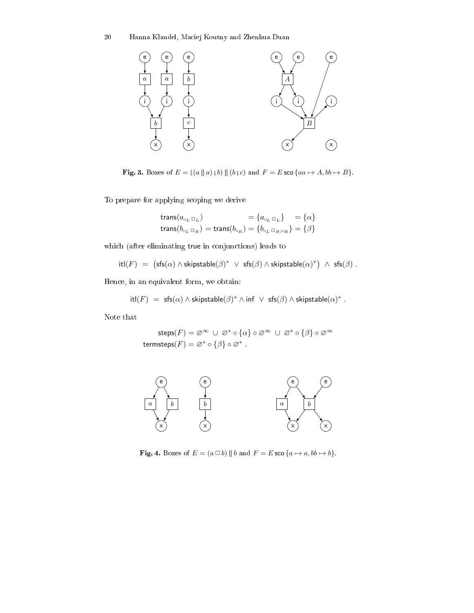

**Fig. 3.** Boxes of  $E = ((a \parallel a); b) \parallel (b; c)$  and  $F = E$  sco  $\{aa \mapsto A, bb \mapsto B\}$ .

To prepare for applying s
oping we derive

$$
\begin{aligned} \text{trans}(a_{\mathbf{u}_L \mathbf{u}_L}) &= \{a_{\mathbf{u}_L \mathbf{u}_L}\} &= \{\alpha\} \\ \text{trans}(b_{\mathbf{u}_L \mathbf{u}_R}) &= \text{trans}(b_{\mathbf{u}_R}) &= \{b_{\mathbf{u}_L \mathbf{u}_R, \mathbf{u}_R}\} = \{\beta\} \end{aligned}
$$

which (after eliminating true in conjunctions) leads to

$$
itI(F) = (sfs(\alpha) \land skipstable(\beta)^* \lor sfs(\beta) \land skipstable(\alpha)^*) \land sfs(\beta).
$$

Hen
e, in an equivalent form, we obtain:

$$
itI(F) = sfs(\alpha) \wedge skipstable(\beta)^* \wedge inf \vee ss(\beta) \wedge skipstable(\alpha)^*.
$$

Note that

$$
\mathsf{steps}(F) = \varnothing^{\infty} \cup \varnothing^* \circ \{\alpha\} \circ \varnothing^{\infty} \cup \varnothing^* \circ \{\beta\} \circ \varnothing^{\infty}
$$
\n
$$
\mathsf{terms}(\mathsf{t}) = \varnothing^* \circ \{\beta\} \circ \varnothing^*.
$$



**Fig. 4.** Boxes of  $E = (a \square b) || b$  and  $F = E$  sco  $\{a \mapsto a, bb \mapsto b\}.$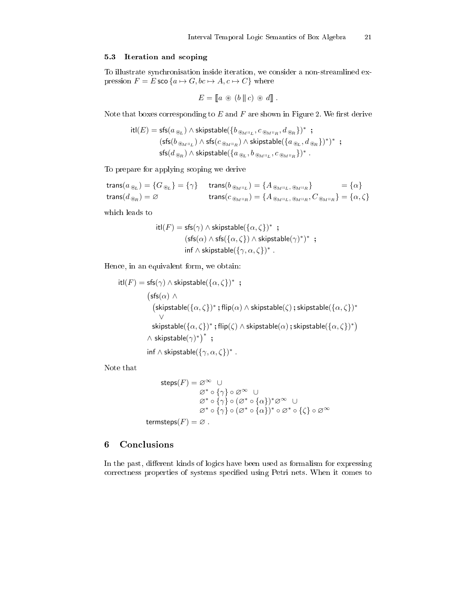#### 5.3 Iteration and s
oping

To illustrate syn
hronisation inside iteration, we onsider a non-streamlined expression  $F = E \operatorname{sco} \{a \mapsto G, bc \mapsto A, c \mapsto C\}$  where

$$
E = [a \circledast (b \mid c) \circledast d].
$$

Note that boxes corresponding to  $E$  and  $F$  are shown in Figure 2. We first derive

$$
\begin{array}{ll}\mathsf{itl}(E)=\mathsf{sfs}(a_{\circledast_L})\land \mathsf{skipstable}(\{b_{\circledast_{\!M^{\sqcup_L}}},c_{\circledast_{\!M^{\sqcup_R}}},d_{\circledast_R}\})^* \ ; \\ & (\mathsf{sfs}(b_{\circledast_{\!M^{\sqcup_L}}})\land \mathsf{sfs}(c_{\circledast_{\!M^{\sqcup_R}}})\land \mathsf{skipstable}(\{a_{\circledast_L},d_{\circledast_R}\})^*)^* \ ; \\ & \mathsf{sfs}(d_{\circledast_R})\land \mathsf{skipstable}(\{a_{\circledast_L},b_{\circledast_{\!M^{\sqcup_L}}},c_{\circledast_{\!M^{\sqcup_R}}}\})^* \ .\end{array}
$$

To prepare for applying s
oping we derive

$$
\begin{aligned}\n\text{trans}(a_{\circledast_L}) &= \{G_{\circledast_L}\} = \{\gamma\} & \text{trans}(b_{\circledast_{M^{\parallel L}}}) &= \{A_{\circledast_{M^{\parallel L}}, \circledast_{M^{\parallel R}}}\} &= \{\alpha\} \\
\text{trans}(d_{\circledast_R}) &= \varnothing & \text{trans}(c_{\circledast_{M^{\parallel R}}}) &= \{A_{\circledast_{M^{\parallel L}}, \circledast_{M^{\parallel R}}, C_{\circledast_{M^{\parallel R}}}\} = \{\alpha, \zeta\}\n\end{aligned}
$$

whi
h leads to

$$
\begin{aligned} \mathsf{itl}(F) = \mathsf{sfs}(\gamma) \land \mathsf{skipstable}(\{\alpha, \zeta\})^* \ ; \\ (\mathsf{sfs}(\alpha) \land \mathsf{sfs}(\{\alpha, \zeta\}) \land \mathsf{skipstable}(\gamma)^*)^* \ ; \\ \mathsf{inf} \land \mathsf{skipstable}(\{\gamma, \alpha, \zeta\})^* \ . \end{aligned}
$$

Hen
e, in an equivalent form, we obtain:

$$
\begin{aligned} \text{itl}(F) & = \text{sfs}(\gamma) \land \text{skipstable}(\{\alpha, \zeta\})^* \enspace; \\ & \quad \text{(sfs}(\alpha) \land \\ & \quad \text{(skipstable}(\{\alpha, \zeta\})^* \text{ ; flip}(\alpha) \land \text{skipstable}(\zeta) \text{ ; skipstable}(\{\alpha, \zeta\})^* \\ & \lor \\ & \quad \text{skipstable}(\{\alpha, \zeta\})^* \text{ ; flip}(\zeta) \land \text{skipstable}(\alpha) \text{ ; skipstable}(\{\alpha, \zeta\})^* ) \\ & \land \text{skipstable}(\gamma)^* \text{ } ; \\ & \quad \text{inf} \land \text{skipstable}(\{\gamma, \alpha, \zeta\})^* \enspace. \end{aligned}
$$

Note that

$$
\begin{aligned}\n\text{steps}(F) &= \varnothing^{\infty} \quad \cup \\
&\varnothing^* \circ \{\gamma\} \circ \varnothing^{\infty} \quad \cup \\
&\varnothing^* \circ \{\gamma\} \circ (\varnothing^* \circ \{\alpha\})^* \varnothing^{\infty} \quad \cup \\
&\varnothing^* \circ \{\gamma\} \circ (\varnothing^* \circ \{\alpha\})^* \circ \varnothing^* \circ \{\zeta\} \circ \varnothing^{\infty}\n\end{aligned}
$$

termsteps $(F) = \emptyset$ .

#### 6**Conclusions**

In the past, different kinds of logics have been used as formalism for expressing correctness properties of systems specified using Petri nets. When it comes to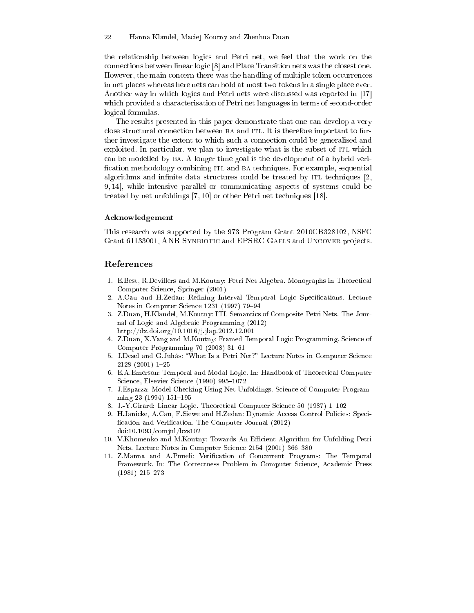the relationship between logi
s and Petri net, we feel that the work on the connections between linear logic [8] and Place Transition nets was the closest one. However, the main concern there was the handling of multiple token occurrences in net places whereas here nets can hold at most two tokens in a single place ever. Another way in which logics and Petri nets were discussed was reported in [17] which provided a characterisation of Petri net languages in terms of second-order logi
al formulas.

The results presented in this paper demonstrate that one can develop a very close structural connection between BA and ITL. It is therefore important to further investigate the extent to which such a connection could be generalised and exploited. In particular, we plan to investigate what is the subset of ITL which an be modelled by ba. A longer time goal is the development of a hybrid veri fication methodology combining ITL and BA techniques. For example, sequential algorithms and infinite data structures could be treated by ITL techniques [2, 9, 14, while intensive parallel or communicating aspects of systems could be treated by net unfoldings  $[7, 10]$  or other Petri net techniques  $[18]$ .

#### A
knowledgement

This resear
h was supported by the 973 Program Grant 2010CB328102, NSFC Grant 61133001, ANR SYNBIOTIC and EPSRC GAELS and UNCOVER projects.

## Referen
es

- 1. E.Best, R.Devillers and M.Koutny: Petri Net Algebra. Monographs in Theoreti
al Computer S
ien
e, Springer (2001)
- 2. A.Cau and H.Zedan: Refining Interval Temporal Logic Specifications. Lecture Notes in Computer Science 1231 (1997) 79-94
- 3. Z.Duan, H.Klaudel, M.Koutny: ITL Semanti
s of Composite Petri Nets. The Journal of Logi and Algebrai Programming (2012) http://dx.doi.org/10.1016/j.jlap.2012.12.001
- 4. Z.Duan, X.Yang and M.Koutny: Framed Temporal Logic Programming. Science of Computer Programming 70 (2008) 31-61
- 5. J.Desel and G.Juhás: "What Is a Petri Net?" Lecture Notes in Computer Science  $2128(2001)$  1-25
- 6. E.A.Emerson: Temporal and Modal Logi
. In: Handbook of Theoreti
al Computer Science, Elsevier Science (1990) 995-1072
- 7. J.Esparza: Model Che
king Using Net Unfoldings. S
ien
e of Computer Programming  $23(1994)$  151-195
- 8. J.-Y.Girard: Linear Logic. Theoretical Computer Science 50 (1987) 1-102
- 9. H.Janicke, A.Cau, F.Siewe and H.Zedan: Dynamic Access Control Policies: Specification and Verification. The Computer Journal (2012) doi:10.1093/
omjnl/bxs102
- 10. V.Khomenko and M.Koutny: Towards An Efficient Algorithm for Unfolding Petri Nets. Lecture Notes in Computer Science 2154 (2001) 366-380
- 11. Z.Manna and A.Pnueli: Verification of Concurrent Programs: The Temporal Framework. In: The Correctness Problem in Computer Science, Academic Press  $(1981)$  215-273